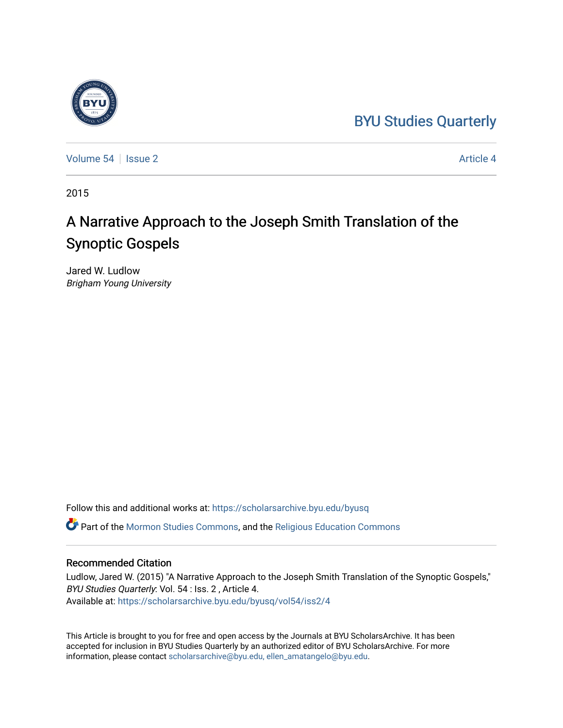# [BYU Studies Quarterly](https://scholarsarchive.byu.edu/byusq)



[Volume 54](https://scholarsarchive.byu.edu/byusq/vol54) | [Issue 2](https://scholarsarchive.byu.edu/byusq/vol54/iss2) Article 4

2015

# A Narrative Approach to the Joseph Smith Translation of the Synoptic Gospels

Jared W. Ludlow Brigham Young University

Follow this and additional works at: [https://scholarsarchive.byu.edu/byusq](https://scholarsarchive.byu.edu/byusq?utm_source=scholarsarchive.byu.edu%2Fbyusq%2Fvol54%2Fiss2%2F4&utm_medium=PDF&utm_campaign=PDFCoverPages) 

Part of the [Mormon Studies Commons](http://network.bepress.com/hgg/discipline/1360?utm_source=scholarsarchive.byu.edu%2Fbyusq%2Fvol54%2Fiss2%2F4&utm_medium=PDF&utm_campaign=PDFCoverPages), and the [Religious Education Commons](http://network.bepress.com/hgg/discipline/1414?utm_source=scholarsarchive.byu.edu%2Fbyusq%2Fvol54%2Fiss2%2F4&utm_medium=PDF&utm_campaign=PDFCoverPages) 

# Recommended Citation

Ludlow, Jared W. (2015) "A Narrative Approach to the Joseph Smith Translation of the Synoptic Gospels," BYU Studies Quarterly: Vol. 54 : Iss. 2 , Article 4. Available at: [https://scholarsarchive.byu.edu/byusq/vol54/iss2/4](https://scholarsarchive.byu.edu/byusq/vol54/iss2/4?utm_source=scholarsarchive.byu.edu%2Fbyusq%2Fvol54%2Fiss2%2F4&utm_medium=PDF&utm_campaign=PDFCoverPages)

This Article is brought to you for free and open access by the Journals at BYU ScholarsArchive. It has been accepted for inclusion in BYU Studies Quarterly by an authorized editor of BYU ScholarsArchive. For more information, please contact [scholarsarchive@byu.edu, ellen\\_amatangelo@byu.edu.](mailto:scholarsarchive@byu.edu,%20ellen_amatangelo@byu.edu)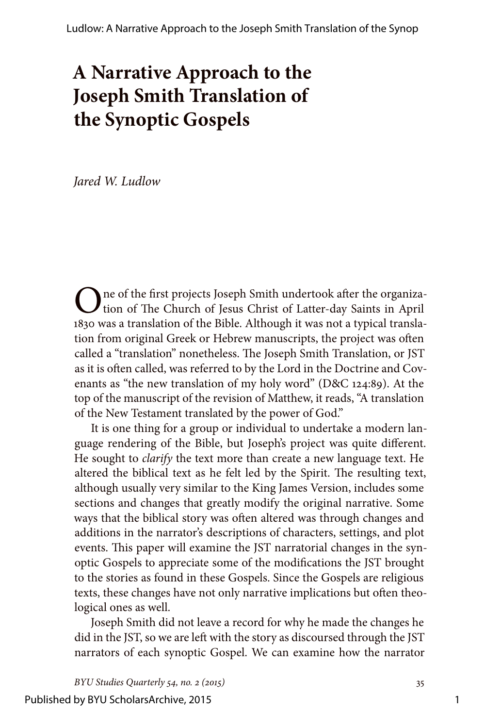# **A Narrative Approach to the Joseph Smith Translation of the Synoptic Gospels**

*Jared W. Ludlow*

One of the first projects Joseph Smith undertook after the organiza-<br>tion of The Church of Jesus Christ of Latter-day Saints in April 1830 was a translation of the Bible. Although it was not a typical translation from original Greek or Hebrew manuscripts, the project was often called a "translation" nonetheless. The Joseph Smith Translation, or JST as it is often called, was referred to by the Lord in the Doctrine and Covenants as "the new translation of my holy word" (D&C 124:89). At the top of the manuscript of the revision of Matthew, it reads, "A translation of the New Testament translated by the power of God."

It is one thing for a group or individual to undertake a modern language rendering of the Bible, but Joseph's project was quite different. He sought to *clarify* the text more than create a new language text. He altered the biblical text as he felt led by the Spirit. The resulting text, although usually very similar to the King James Version, includes some sections and changes that greatly modify the original narrative. Some ways that the biblical story was often altered was through changes and additions in the narrator's descriptions of characters, settings, and plot events. This paper will examine the JST narratorial changes in the synoptic Gospels to appreciate some of the modifications the JST brought to the stories as found in these Gospels. Since the Gospels are religious texts, these changes have not only narrative implications but often theological ones as well.

Joseph Smith did not leave a record for why he made the changes he did in the JST, so we are left with the story as discoursed through the JST narrators of each synoptic Gospel. We can examine how the narrator

*BYU Studies Quarterly 54, no. 2 (2015)* 35

1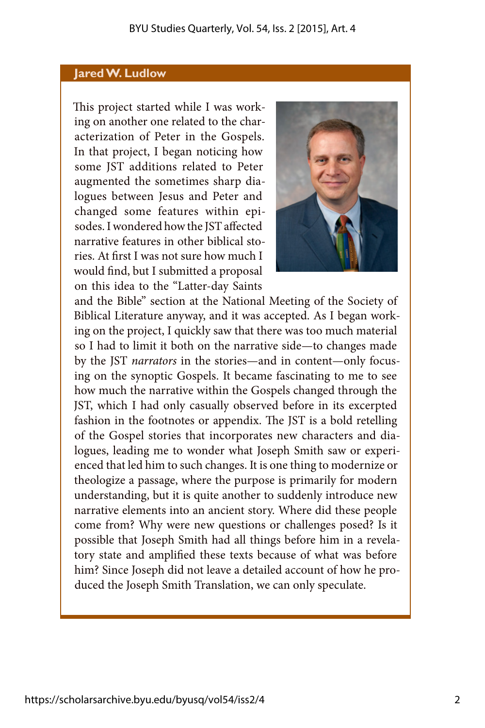### **Jared W. Ludlow**

This project started while I was working on another one related to the characterization of Peter in the Gospels. In that project, I began noticing how some JST additions related to Peter augmented the sometimes sharp dialogues between Jesus and Peter and changed some features within episodes. I wondered how the JST affected narrative features in other biblical stories. At first I was not sure how much I would find, but I submitted a proposal on this idea to the "Latter-day Saints



and the Bible" section at the National Meeting of the Society of Biblical Literature anyway, and it was accepted. As I began working on the project, I quickly saw that there was too much material so I had to limit it both on the narrative side—to changes made by the JST *narrators* in the stories—and in content—only focusing on the synoptic Gospels. It became fascinating to me to see how much the narrative within the Gospels changed through the JST, which I had only casually observed before in its excerpted fashion in the footnotes or appendix. The JST is a bold retelling of the Gospel stories that incorporates new characters and dialogues, leading me to wonder what Joseph Smith saw or experienced that led him to such changes. It is one thing to modernize or theologize a passage, where the purpose is primarily for modern understanding, but it is quite another to suddenly introduce new narrative elements into an ancient story. Where did these people come from? Why were new questions or challenges posed? Is it possible that Joseph Smith had all things before him in a revelatory state and amplified these texts because of what was before him? Since Joseph did not leave a detailed account of how he produced the Joseph Smith Translation, we can only speculate.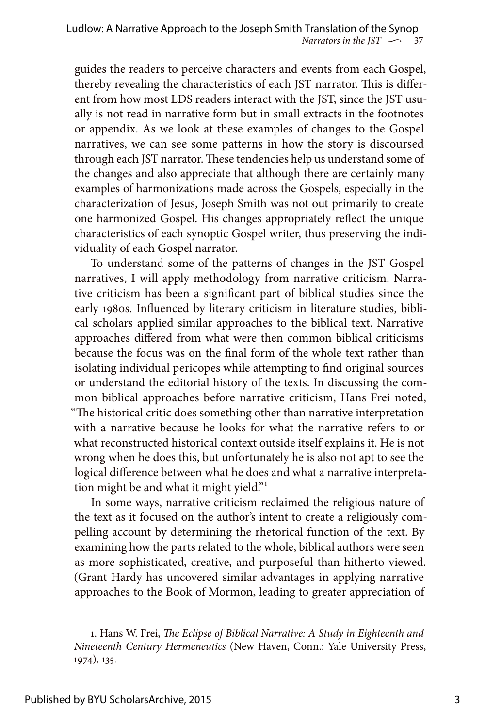guides the readers to perceive characters and events from each Gospel, thereby revealing the characteristics of each JST narrator. This is different from how most LDS readers interact with the JST, since the JST usually is not read in narrative form but in small extracts in the footnotes or appendix. As we look at these examples of changes to the Gospel narratives, we can see some patterns in how the story is discoursed through each JST narrator. These tendencies help us understand some of the changes and also appreciate that although there are certainly many examples of harmonizations made across the Gospels, especially in the characterization of Jesus, Joseph Smith was not out primarily to create one harmonized Gospel. His changes appropriately reflect the unique characteristics of each synoptic Gospel writer, thus preserving the individuality of each Gospel narrator.

To understand some of the patterns of changes in the JST Gospel narratives, I will apply methodology from narrative criticism. Narrative criticism has been a significant part of biblical studies since the early 1980s. Influenced by literary criticism in literature studies, biblical scholars applied similar approaches to the biblical text. Narrative approaches differed from what were then common biblical criticisms because the focus was on the final form of the whole text rather than isolating individual pericopes while attempting to find original sources or understand the editorial history of the texts. In discussing the common biblical approaches before narrative criticism, Hans Frei noted, "The historical critic does something other than narrative interpretation with a narrative because he looks for what the narrative refers to or what reconstructed historical context outside itself explains it. He is not wrong when he does this, but unfortunately he is also not apt to see the logical difference between what he does and what a narrative interpretation might be and what it might yield."1

In some ways, narrative criticism reclaimed the religious nature of the text as it focused on the author's intent to create a religiously compelling account by determining the rhetorical function of the text. By examining how the parts related to the whole, biblical authors were seen as more sophisticated, creative, and purposeful than hitherto viewed. (Grant Hardy has uncovered similar advantages in applying narrative approaches to the Book of Mormon, leading to greater appreciation of

<sup>1.</sup> Hans W. Frei, *The Eclipse of Biblical Narrative: A Study in Eighteenth and Nineteenth Century Hermeneutics* (New Haven, Conn.: Yale University Press, 1974), 135.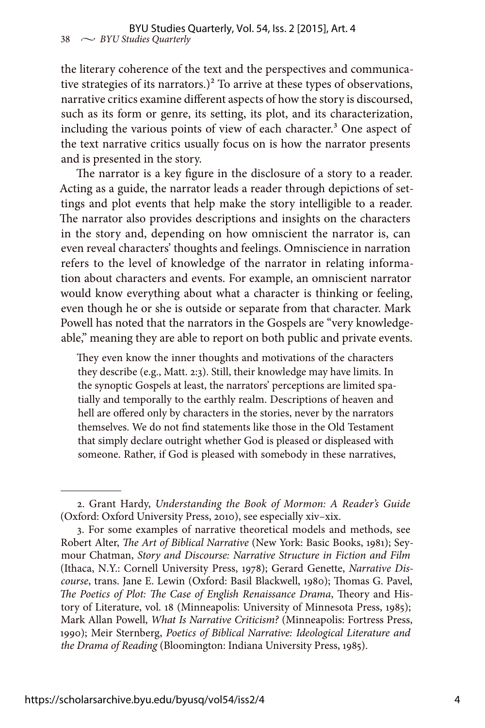the literary coherence of the text and the perspectives and communicative strategies of its narrators.)<sup>2</sup> To arrive at these types of observations, narrative critics examine different aspects of how the story is discoursed, such as its form or genre, its setting, its plot, and its characterization, including the various points of view of each character.<sup>3</sup> One aspect of the text narrative critics usually focus on is how the narrator presents and is presented in the story.

The narrator is a key figure in the disclosure of a story to a reader. Acting as a guide, the narrator leads a reader through depictions of settings and plot events that help make the story intelligible to a reader. The narrator also provides descriptions and insights on the characters in the story and, depending on how omniscient the narrator is, can even reveal characters' thoughts and feelings. Omniscience in narration refers to the level of knowledge of the narrator in relating information about characters and events. For example, an omniscient narrator would know everything about what a character is thinking or feeling, even though he or she is outside or separate from that character. Mark Powell has noted that the narrators in the Gospels are "very knowledgeable," meaning they are able to report on both public and private events.

They even know the inner thoughts and motivations of the characters they describe (e.g., Matt. 2:3). Still, their knowledge may have limits. In the synoptic Gospels at least, the narrators' perceptions are limited spatially and temporally to the earthly realm. Descriptions of heaven and hell are offered only by characters in the stories, never by the narrators themselves. We do not find statements like those in the Old Testament that simply declare outright whether God is pleased or displeased with someone. Rather, if God is pleased with somebody in these narratives,

<sup>2.</sup> Grant Hardy, *Understanding the Book of Mormon: A Reader's Guide* (Oxford: Oxford University Press, 2010), see especially xiv–xix.

<sup>3.</sup> For some examples of narrative theoretical models and methods, see Robert Alter, *The Art of Biblical Narrative* (New York: Basic Books, 1981); Seymour Chatman, *Story and Discourse: Narrative Structure in Fiction and Film* (Ithaca, N.Y.: Cornell University Press, 1978); Gerard Genette, *Narrative Discourse*, trans. Jane E. Lewin (Oxford: Basil Blackwell, 1980); Thomas G. Pavel, *The Poetics of Plot: The Case of English Renaissance Drama*, Theory and History of Literature, vol. 18 (Minneapolis: University of Minnesota Press, 1985); Mark Allan Powell, *What Is Narrative Criticism?* (Minneapolis: Fortress Press, 1990); Meir Sternberg, *Poetics of Biblical Narrative: Ideological Literature and the Drama of Reading* (Bloomington: Indiana University Press, 1985).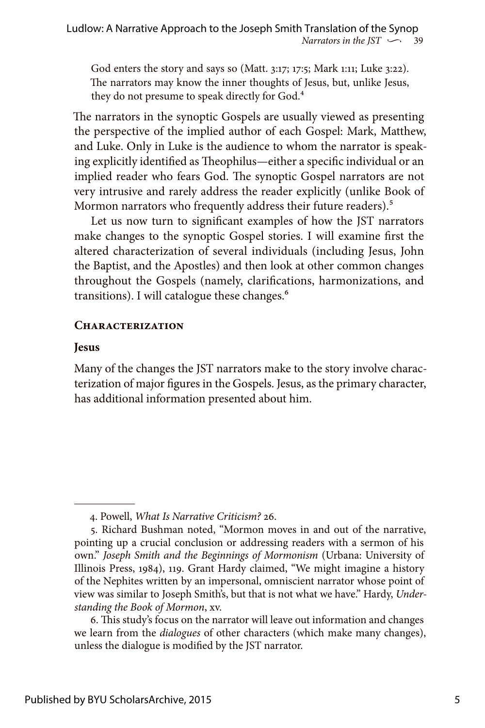God enters the story and says so (Matt. 3:17; 17:5; Mark 1:11; Luke 3:22). The narrators may know the inner thoughts of Jesus, but, unlike Jesus, they do not presume to speak directly for God.<sup>4</sup>

The narrators in the synoptic Gospels are usually viewed as presenting the perspective of the implied author of each Gospel: Mark, Matthew, and Luke. Only in Luke is the audience to whom the narrator is speaking explicitly identified as Theophilus—either a specific individual or an implied reader who fears God. The synoptic Gospel narrators are not very intrusive and rarely address the reader explicitly (unlike Book of Mormon narrators who frequently address their future readers).<sup>5</sup>

Let us now turn to significant examples of how the JST narrators make changes to the synoptic Gospel stories. I will examine first the altered characterization of several individuals (including Jesus, John the Baptist, and the Apostles) and then look at other common changes throughout the Gospels (namely, clarifications, harmonizations, and transitions). I will catalogue these changes.<sup>6</sup>

# **Characterization**

## **Jesus**

Many of the changes the JST narrators make to the story involve characterization of major figures in the Gospels. Jesus, as the primary character, has additional information presented about him.

<sup>4.</sup> Powell, *What Is Narrative Criticism?* 26.

<sup>5.</sup> Richard Bushman noted, "Mormon moves in and out of the narrative, pointing up a crucial conclusion or addressing readers with a sermon of his own." *Joseph Smith and the Beginnings of Mormonism* (Urbana: University of Illinois Press, 1984), 119. Grant Hardy claimed, "We might imagine a history of the Nephites written by an impersonal, omniscient narrator whose point of view was similar to Joseph Smith's, but that is not what we have." Hardy, *Understanding the Book of Mormon*, xv.

<sup>6.</sup> This study's focus on the narrator will leave out information and changes we learn from the *dialogues* of other characters (which make many changes), unless the dialogue is modified by the JST narrator.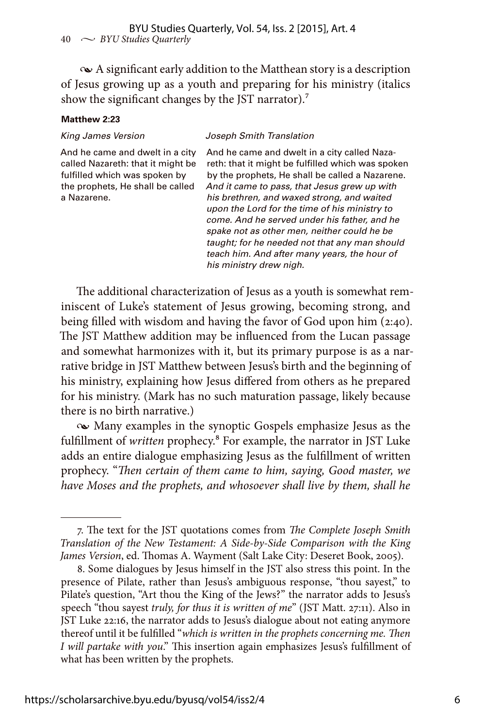$\sim$  A significant early addition to the Matthean story is a description of Jesus growing up as a youth and preparing for his ministry (italics show the significant changes by the JST narrator).<sup>7</sup>

#### **Matthew 2:23**

#### *King James Version Joseph Smith Translation*

And he came and dwelt in a city called Nazareth: that it might be fulfilled which was spoken by the prophets, He shall be called a Nazarene.

And he came and dwelt in a city called Nazareth: that it might be fulfilled which was spoken by the prophets, He shall be called a Nazarene. *And it came to pass, that Jesus grew up with his brethren, and waxed strong, and waited upon the Lord for the time of his ministry to come. And he served under his father, and he spake not as other men, neither could he be taught; for he needed not that any man should teach him. And after many years, the hour of his ministry drew nigh.*

The additional characterization of Jesus as a youth is somewhat reminiscent of Luke's statement of Jesus growing, becoming strong, and being filled with wisdom and having the favor of God upon him (2:40). The JST Matthew addition may be influenced from the Lucan passage and somewhat harmonizes with it, but its primary purpose is as a narrative bridge in JST Matthew between Jesus's birth and the beginning of his ministry, explaining how Jesus differed from others as he prepared for his ministry. (Mark has no such maturation passage, likely because there is no birth narrative.)

• Many examples in the synoptic Gospels emphasize Jesus as the fulfillment of *written* prophecy.8 For example, the narrator in JST Luke adds an entire dialogue emphasizing Jesus as the fulfillment of written prophecy. "*Then certain of them came to him, saying, Good master, we have Moses and the prophets, and whosoever shall live by them, shall he* 

<sup>7.</sup> The text for the JST quotations comes from *The Complete Joseph Smith Translation of the New Testament: A Side-by-Side Comparison with the King James Version*, ed. Thomas A. Wayment (Salt Lake City: Deseret Book, 2005).

<sup>8.</sup> Some dialogues by Jesus himself in the JST also stress this point. In the presence of Pilate, rather than Jesus's ambiguous response, "thou sayest," to Pilate's question, "Art thou the King of the Jews?" the narrator adds to Jesus's speech "thou sayest *truly, for thus it is written of me*" (JST Matt. 27:11). Also in JST Luke 22:16, the narrator adds to Jesus's dialogue about not eating anymore thereof until it be fulfilled "*which is written in the prophets concerning me. Then I will partake with you*." This insertion again emphasizes Jesus's fulfillment of what has been written by the prophets.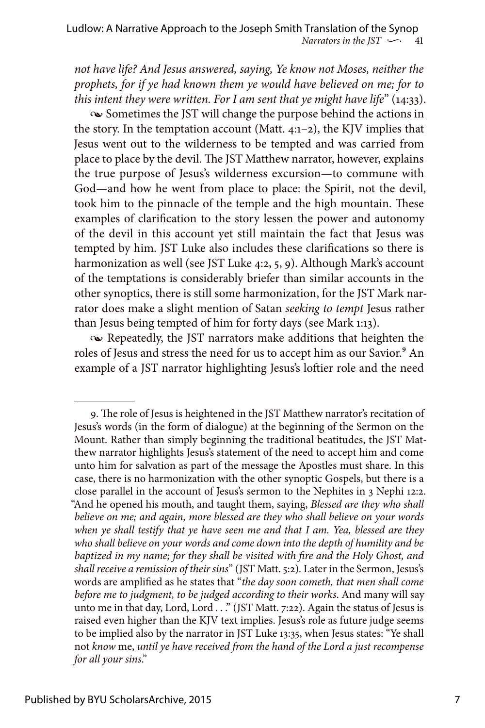*Narrators in the JST*  $\sim$  41 Ludlow: A Narrative Approach to the Joseph Smith Translation of the Synop

*not have life? And Jesus answered, saying, Ye know not Moses, neither the prophets, for if ye had known them ye would have believed on me; for to this intent they were written. For I am sent that ye might have life*" (14:33).

• Sometimes the JST will change the purpose behind the actions in the story. In the temptation account (Matt.  $4:1-2$ ), the KJV implies that Jesus went out to the wilderness to be tempted and was carried from place to place by the devil. The JST Matthew narrator, however, explains the true purpose of Jesus's wilderness excursion—to commune with God—and how he went from place to place: the Spirit, not the devil, took him to the pinnacle of the temple and the high mountain. These examples of clarification to the story lessen the power and autonomy of the devil in this account yet still maintain the fact that Jesus was tempted by him. JST Luke also includes these clarifications so there is harmonization as well (see JST Luke 4:2, 5, 9). Although Mark's account of the temptations is considerably briefer than similar accounts in the other synoptics, there is still some harmonization, for the JST Mark narrator does make a slight mention of Satan *seeking to tempt* Jesus rather than Jesus being tempted of him for forty days (see Mark 1:13).

• Repeatedly, the JST narrators make additions that heighten the roles of Jesus and stress the need for us to accept him as our Savior.<sup>9</sup> An example of a JST narrator highlighting Jesus's loftier role and the need

<sup>9.</sup> The role of Jesus is heightened in the JST Matthew narrator's recitation of Jesus's words (in the form of dialogue) at the beginning of the Sermon on the Mount. Rather than simply beginning the traditional beatitudes, the JST Matthew narrator highlights Jesus's statement of the need to accept him and come unto him for salvation as part of the message the Apostles must share. In this case, there is no harmonization with the other synoptic Gospels, but there is a close parallel in the account of Jesus's sermon to the Nephites in 3 Nephi 12:2. "And he opened his mouth, and taught them, saying, *Blessed are they who shall believe on me; and again, more blessed are they who shall believe on your words when ye shall testify that ye have seen me and that I am. Yea, blessed are they who shall believe on your words and come down into the depth of humility and be baptized in my name; for they shall be visited with fire and the Holy Ghost, and shall receive a remission of their sins*" (JST Matt. 5:2)*.* Later in the Sermon, Jesus's words are amplified as he states that "*the day soon cometh, that men shall come before me to judgment, to be judged according to their works*. And many will say unto me in that day, Lord, Lord . . . " (JST Matt. 7:22). Again the status of Jesus is raised even higher than the KJV text implies. Jesus's role as future judge seems to be implied also by the narrator in JST Luke 13:35, when Jesus states: "Ye shall not *know* me, *until ye have received from the hand of the Lord a just recompense for all your sins*."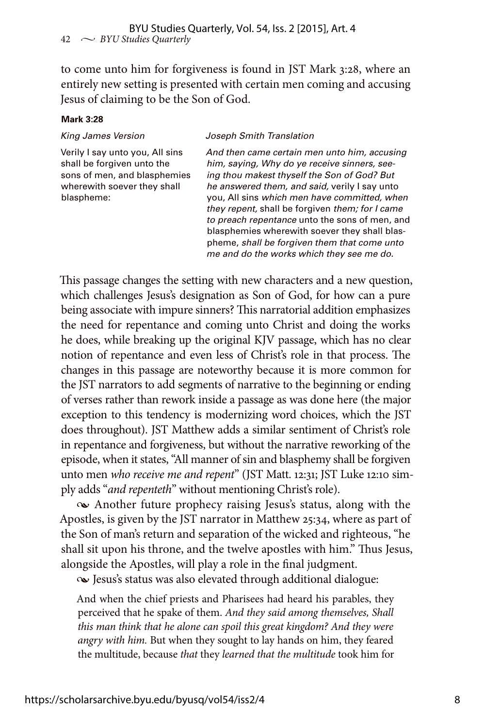to come unto him for forgiveness is found in JST Mark 3:28, where an entirely new setting is presented with certain men coming and accusing Jesus of claiming to be the Son of God.

#### **Mark 3:28**

*King James Version Joseph Smith Translation*

Verily I say unto you, All sins shall be forgiven unto the sons of men, and blasphemies wherewith soever they shall blaspheme:

*And then came certain men unto him, accusing him, saying, Why do ye receive sinners, seeing thou makest thyself the Son of God? But he answered them, and said,* verily I say unto you, All sins *which men have committed, when they repent,* shall be forgiven *them; for I came to preach repentance* unto the sons of men, and blasphemies wherewith soever they shall blaspheme, *shall be forgiven them that come unto me and do the works which they see me do.*

This passage changes the setting with new characters and a new question, which challenges Jesus's designation as Son of God, for how can a pure being associate with impure sinners? This narratorial addition emphasizes the need for repentance and coming unto Christ and doing the works he does, while breaking up the original KJV passage, which has no clear notion of repentance and even less of Christ's role in that process. The changes in this passage are noteworthy because it is more common for the JST narrators to add segments of narrative to the beginning or ending of verses rather than rework inside a passage as was done here (the major exception to this tendency is modernizing word choices, which the JST does throughout). JST Matthew adds a similar sentiment of Christ's role in repentance and forgiveness, but without the narrative reworking of the episode, when it states, "All manner of sin and blasphemy shall be forgiven unto men *who receive me and repent*" (JST Matt. 12:31; JST Luke 12:10 simply adds "*and repenteth*" without mentioning Christ's role).

• Another future prophecy raising Jesus's status, along with the Apostles, is given by the JST narrator in Matthew 25:34, where as part of the Son of man's return and separation of the wicked and righteous, "he shall sit upon his throne, and the twelve apostles with him." Thus Jesus, alongside the Apostles, will play a role in the final judgment.

• Jesus's status was also elevated through additional dialogue:

And when the chief priests and Pharisees had heard his parables, they perceived that he spake of them. *And they said among themselves, Shall this man think that he alone can spoil this great kingdom? And they were angry with him.* But when they sought to lay hands on him, they feared the multitude, because *that* they *learned that the multitude* took him for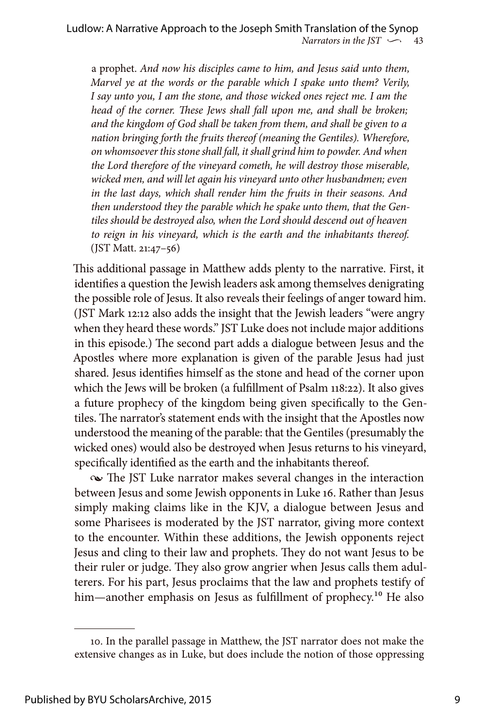a prophet. *And now his disciples came to him, and Jesus said unto them, Marvel ye at the words or the parable which I spake unto them? Verily, I say unto you, I am the stone, and those wicked ones reject me. I am the head of the corner. These Jews shall fall upon me, and shall be broken; and the kingdom of God shall be taken from them, and shall be given to a nation bringing forth the fruits thereof (meaning the Gentiles). Wherefore, on whomsoever this stone shall fall, it shall grind him to powder. And when the Lord therefore of the vineyard cometh, he will destroy those miserable, wicked men, and will let again his vineyard unto other husbandmen; even in the last days, which shall render him the fruits in their seasons. And then understood they the parable which he spake unto them, that the Gentiles should be destroyed also, when the Lord should descend out of heaven to reign in his vineyard, which is the earth and the inhabitants thereof.* (JST Matt. 21:47–56)

This additional passage in Matthew adds plenty to the narrative. First, it identifies a question the Jewish leaders ask among themselves denigrating the possible role of Jesus. It also reveals their feelings of anger toward him. (JST Mark 12:12 also adds the insight that the Jewish leaders "were angry when they heard these words." JST Luke does not include major additions in this episode.) The second part adds a dialogue between Jesus and the Apostles where more explanation is given of the parable Jesus had just shared. Jesus identifies himself as the stone and head of the corner upon which the Jews will be broken (a fulfillment of Psalm 118:22). It also gives a future prophecy of the kingdom being given specifically to the Gentiles. The narrator's statement ends with the insight that the Apostles now understood the meaning of the parable: that the Gentiles (presumably the wicked ones) would also be destroyed when Jesus returns to his vineyard, specifically identified as the earth and the inhabitants thereof.

• The JST Luke narrator makes several changes in the interaction between Jesus and some Jewish opponents in Luke 16. Rather than Jesus simply making claims like in the KJV, a dialogue between Jesus and some Pharisees is moderated by the JST narrator, giving more context to the encounter. Within these additions, the Jewish opponents reject Jesus and cling to their law and prophets. They do not want Jesus to be their ruler or judge. They also grow angrier when Jesus calls them adulterers. For his part, Jesus proclaims that the law and prophets testify of him—another emphasis on Jesus as fulfillment of prophecy.<sup>10</sup> He also

<sup>10.</sup> In the parallel passage in Matthew, the JST narrator does not make the extensive changes as in Luke, but does include the notion of those oppressing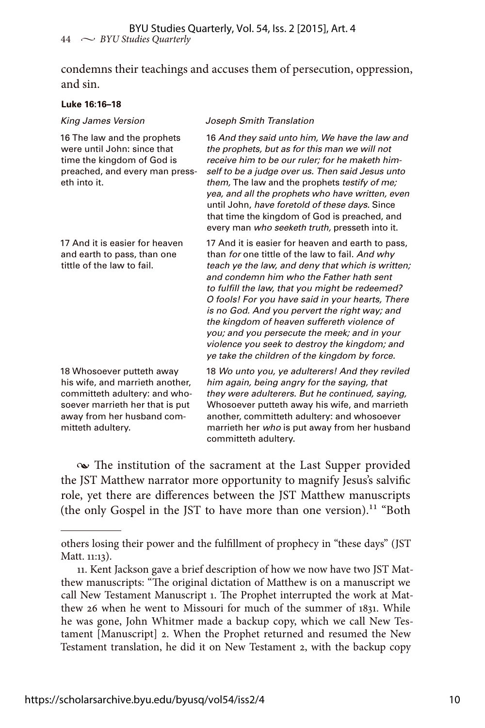condemns their teachings and accuses them of persecution, oppression, and sin.

### **Luke 16:16–18**

| <b>King James Version</b>                                                                                                                                                           | Joseph Smith Translation                                                                                                                                                                                                                                                                                                                                                                                                                                                                                                                                       |
|-------------------------------------------------------------------------------------------------------------------------------------------------------------------------------------|----------------------------------------------------------------------------------------------------------------------------------------------------------------------------------------------------------------------------------------------------------------------------------------------------------------------------------------------------------------------------------------------------------------------------------------------------------------------------------------------------------------------------------------------------------------|
| 16 The law and the prophets<br>were until John: since that<br>time the kingdom of God is<br>preached, and every man press-<br>eth into it.                                          | 16 And they said unto him, We have the law and<br>the prophets, but as for this man we will not<br>receive him to be our ruler; for he maketh him-<br>self to be a judge over us. Then said Jesus unto<br>them, The law and the prophets testify of me;<br>yea, and all the prophets who have written, even<br>until John, have foretold of these days. Since<br>that time the kingdom of God is preached, and<br>every man who seeketh truth, presseth into it.                                                                                               |
| 17 And it is easier for heaven<br>and earth to pass, than one<br>tittle of the law to fail.                                                                                         | 17 And it is easier for heaven and earth to pass,<br>than for one tittle of the law to fail. And why<br>teach ye the law, and deny that which is written;<br>and condemn him who the Father hath sent<br>to fulfill the law, that you might be redeemed?<br>O fools! For you have said in your hearts, There<br>is no God. And you pervert the right way; and<br>the kingdom of heaven suffereth violence of<br>you; and you persecute the meek; and in your<br>violence you seek to destroy the kingdom; and<br>ye take the children of the kingdom by force. |
| 18 Whosoever putteth away<br>his wife, and marrieth another,<br>committeth adultery: and who-<br>soever marrieth her that is put<br>away from her husband com-<br>mitteth adultery. | 18 Wo unto you, ye adulterers! And they reviled<br>him again, being angry for the saying, that<br>they were adulterers. But he continued, saying,<br>Whosoever putteth away his wife, and marrieth<br>another, committeth adultery: and whosoever<br>marrieth her who is put away from her husband<br>committeth adultery.                                                                                                                                                                                                                                     |

• The institution of the sacrament at the Last Supper provided the JST Matthew narrator more opportunity to magnify Jesus's salvific role, yet there are differences between the JST Matthew manuscripts (the only Gospel in the JST to have more than one version).<sup>11</sup> "Both

others losing their power and the fulfillment of prophecy in "these days" (JST Matt. 11:13).

<sup>11.</sup> Kent Jackson gave a brief description of how we now have two JST Matthew manuscripts: "The original dictation of Matthew is on a manuscript we call New Testament Manuscript 1. The Prophet interrupted the work at Matthew 26 when he went to Missouri for much of the summer of 1831. While he was gone, John Whitmer made a backup copy, which we call New Testament [Manuscript] 2. When the Prophet returned and resumed the New Testament translation, he did it on New Testament 2, with the backup copy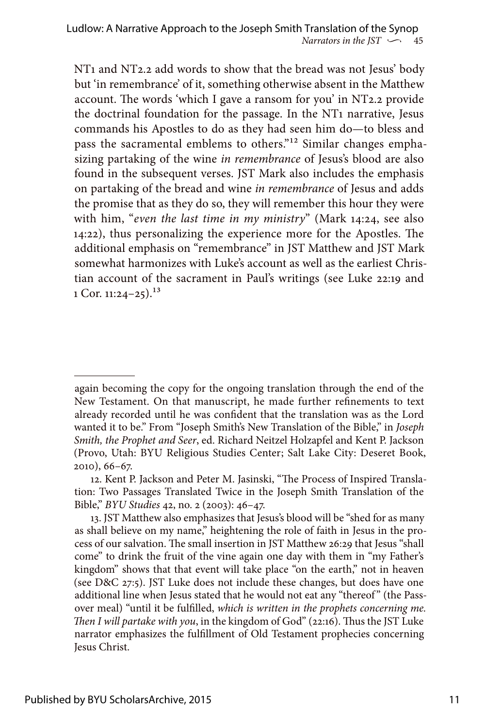NT1 and NT2.2 add words to show that the bread was not Jesus' body but 'in remembrance' of it, something otherwise absent in the Matthew account. The words 'which I gave a ransom for you' in NT2.2 provide the doctrinal foundation for the passage. In the NT1 narrative, Jesus commands his Apostles to do as they had seen him do—to bless and pass the sacramental emblems to others."12 Similar changes emphasizing partaking of the wine *in remembrance* of Jesus's blood are also found in the subsequent verses. JST Mark also includes the emphasis on partaking of the bread and wine *in remembrance* of Jesus and adds the promise that as they do so, they will remember this hour they were with him, "*even the last time in my ministry*" (Mark 14:24, see also 14:22), thus personalizing the experience more for the Apostles. The additional emphasis on "remembrance" in JST Matthew and JST Mark somewhat harmonizes with Luke's account as well as the earliest Christian account of the sacrament in Paul's writings (see Luke 22:19 and 1 Cor. 11:24–25).<sup>13</sup>

again becoming the copy for the ongoing translation through the end of the New Testament. On that manuscript, he made further refinements to text already recorded until he was confident that the translation was as the Lord wanted it to be." From "Joseph Smith's New Translation of the Bible," in *Joseph Smith, the Prophet and Seer*, ed. Richard Neitzel Holzapfel and Kent P. Jackson (Provo, Utah: BYU Religious Studies Center; Salt Lake City: Deseret Book, 2010), 66–67.

<sup>12.</sup> Kent P. Jackson and Peter M. Jasinski, "The Process of Inspired Translation: Two Passages Translated Twice in the Joseph Smith Translation of the Bible," *BYU Studies* 42, no. 2 (2003): 46–47.

<sup>13.</sup> JST Matthew also emphasizes that Jesus's blood will be "shed for as many as shall believe on my name," heightening the role of faith in Jesus in the process of our salvation. The small insertion in JST Matthew 26:29 that Jesus "shall come" to drink the fruit of the vine again one day with them in "my Father's kingdom" shows that that event will take place "on the earth," not in heaven (see D&C 27:5). JST Luke does not include these changes, but does have one additional line when Jesus stated that he would not eat any "thereof" (the Passover meal) "until it be fulfilled, *which is written in the prophets concerning me. Then I will partake with you*, in the kingdom of God" (22:16). Thus the JST Luke narrator emphasizes the fulfillment of Old Testament prophecies concerning Jesus Christ.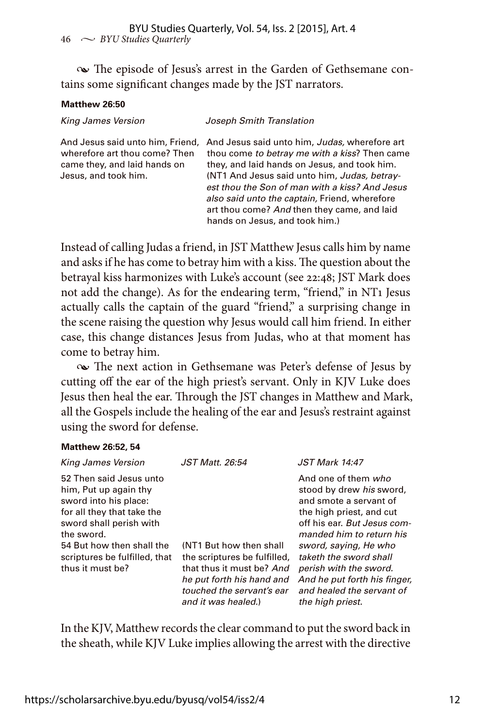• The episode of Jesus's arrest in the Garden of Gethsemane contains some significant changes made by the JST narrators.

### **Matthew 26:50**

| <b>King James Version</b>                                                             | Joseph Smith Translation                                                                                                                                                                                                                                                                                                                                                                                            |
|---------------------------------------------------------------------------------------|---------------------------------------------------------------------------------------------------------------------------------------------------------------------------------------------------------------------------------------------------------------------------------------------------------------------------------------------------------------------------------------------------------------------|
| wherefore art thou come? Then<br>came they, and laid hands on<br>Jesus, and took him. | And Jesus said unto him, Friend, And Jesus said unto him, Judas, wherefore art<br>thou come to betray me with a kiss? Then came<br>they, and laid hands on Jesus, and took him.<br>(NT1 And Jesus said unto him, Judas, betray-<br>est thou the Son of man with a kiss? And Jesus<br>also said unto the captain, Friend, wherefore<br>art thou come? And then they came, and laid<br>hands on Jesus, and took him.) |
|                                                                                       |                                                                                                                                                                                                                                                                                                                                                                                                                     |

Instead of calling Judas a friend, in JST Matthew Jesus calls him by name and asks if he has come to betray him with a kiss. The question about the betrayal kiss harmonizes with Luke's account (see 22:48; JST Mark does not add the change). As for the endearing term, "friend," in NT1 Jesus actually calls the captain of the guard "friend," a surprising change in the scene raising the question why Jesus would call him friend. In either case, this change distances Jesus from Judas, who at that moment has come to betray him.

• The next action in Gethsemane was Peter's defense of Jesus by cutting off the ear of the high priest's servant. Only in KJV Luke does Jesus then heal the ear. Through the JST changes in Matthew and Mark, all the Gospels include the healing of the ear and Jesus's restraint against using the sword for defense.

### **Matthew 26:52, 54**

| <b>King James Version</b>                                                                                                                                                                                                          | JST Matt. 26:54                                                                                                                                                       | <b>JST Mark 14:47</b>                                                                                                                                                                                                                                                                                                          |
|------------------------------------------------------------------------------------------------------------------------------------------------------------------------------------------------------------------------------------|-----------------------------------------------------------------------------------------------------------------------------------------------------------------------|--------------------------------------------------------------------------------------------------------------------------------------------------------------------------------------------------------------------------------------------------------------------------------------------------------------------------------|
| 52 Then said Jesus unto<br>him, Put up again thy<br>sword into his place:<br>for all they that take the<br>sword shall perish with<br>the sword.<br>54 But how then shall the<br>scriptures be fulfilled, that<br>thus it must be? | (NT1 But how then shall<br>the scriptures be fulfilled,<br>that thus it must be? And<br>he put forth his hand and<br>touched the servant's ear<br>and it was healed.) | And one of them who<br>stood by drew his sword,<br>and smote a servant of<br>the high priest, and cut<br>off his ear. But Jesus com-<br>manded him to return his<br>sword, saying, He who<br>taketh the sword shall<br>perish with the sword.<br>And he put forth his finger,<br>and healed the servant of<br>the high priest. |

In the KJV, Matthew records the clear command to put the sword back in the sheath, while KJV Luke implies allowing the arrest with the directive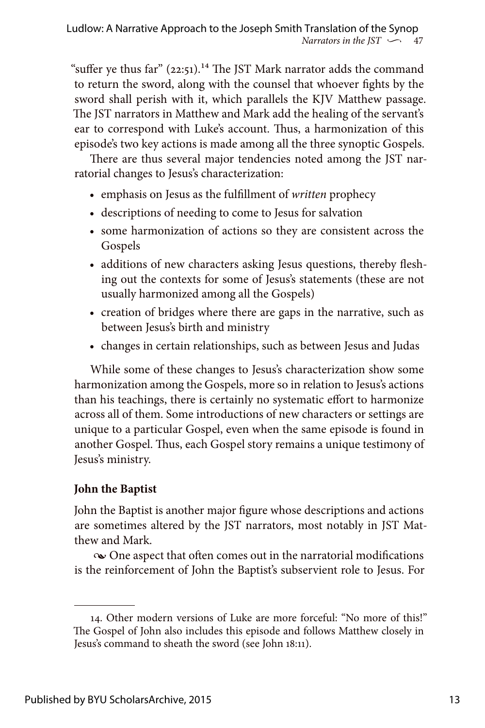"suffer ye thus far"  $(22:51).$ <sup>14</sup> The JST Mark narrator adds the command to return the sword, along with the counsel that whoever fights by the sword shall perish with it, which parallels the KJV Matthew passage. The JST narrators in Matthew and Mark add the healing of the servant's ear to correspond with Luke's account. Thus, a harmonization of this episode's two key actions is made among all the three synoptic Gospels.

There are thus several major tendencies noted among the JST narratorial changes to Jesus's characterization:

- emphasis on Jesus as the fulfillment of *written* prophecy
- descriptions of needing to come to Jesus for salvation
- some harmonization of actions so they are consistent across the Gospels
- additions of new characters asking Jesus questions, thereby fleshing out the contexts for some of Jesus's statements (these are not usually harmonized among all the Gospels)
- creation of bridges where there are gaps in the narrative, such as between Jesus's birth and ministry
- changes in certain relationships, such as between Jesus and Judas

While some of these changes to Jesus's characterization show some harmonization among the Gospels, more so in relation to Jesus's actions than his teachings, there is certainly no systematic effort to harmonize across all of them. Some introductions of new characters or settings are unique to a particular Gospel, even when the same episode is found in another Gospel. Thus, each Gospel story remains a unique testimony of Jesus's ministry.

# **John the Baptist**

John the Baptist is another major figure whose descriptions and actions are sometimes altered by the JST narrators, most notably in JST Matthew and Mark.

 $\infty$  One aspect that often comes out in the narratorial modifications is the reinforcement of John the Baptist's subservient role to Jesus. For

<sup>14.</sup> Other modern versions of Luke are more forceful: "No more of this!" The Gospel of John also includes this episode and follows Matthew closely in Jesus's command to sheath the sword (see John 18:11).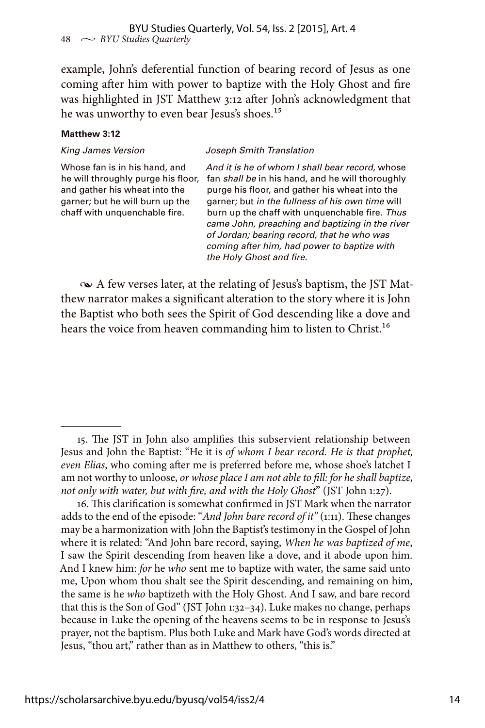example, John's deferential function of bearing record of Jesus as one coming after him with power to baptize with the Holy Ghost and fire was highlighted in JST Matthew 3:12 after John's acknowledgment that he was unworthy to even bear Jesus's shoes.<sup>15</sup>

#### **Matthew 3:12**

*King James Version Joseph Smith Translation*

Whose fan is in his hand, and he will throughly purge his floor, and gather his wheat into the garner; but he will burn up the chaff with unquenchable fire.

*And it is he of whom I shall bear record,* whose fan *shall be* in his hand, and he will thoroughly purge his floor, and gather his wheat into the garner; but *in the fullness of his own time* will burn up the chaff with unquenchable fire. *Thus came John, preaching and baptizing in the river of Jordan; bearing record, that he who was coming after him, had power to baptize with the Holy Ghost and fire.*

• A few verses later, at the relating of Jesus's baptism, the JST Matthew narrator makes a significant alteration to the story where it is John the Baptist who both sees the Spirit of God descending like a dove and hears the voice from heaven commanding him to listen to Christ.<sup>16</sup>

<sup>15.</sup> The JST in John also amplifies this subservient relationship between Jesus and John the Baptist: "He it is *of whom I bear record. He is that prophet, even Elias*, who coming after me is preferred before me, whose shoe's latchet I am not worthy to unloose, *or whose place I am not able to fill: for he shall baptize, not only with water, but with fire, and with the Holy Ghost*" (JST John 1:27).

<sup>16.</sup> This clarification is somewhat confirmed in JST Mark when the narrator adds to the end of the episode: "*And John bare record of it"* (1:11). These changes may be a harmonization with John the Baptist's testimony in the Gospel of John where it is related: "And John bare record, saying, *When he was baptized of me*, I saw the Spirit descending from heaven like a dove, and it abode upon him. And I knew him: *for* he *who* sent me to baptize with water, the same said unto me, Upon whom thou shalt see the Spirit descending, and remaining on him, the same is he *who* baptizeth with the Holy Ghost. And I saw, and bare record that this is the Son of God" (JST John 1:32–34). Luke makes no change, perhaps because in Luke the opening of the heavens seems to be in response to Jesus's prayer, not the baptism. Plus both Luke and Mark have God's words directed at Jesus, "thou art," rather than as in Matthew to others, "this is."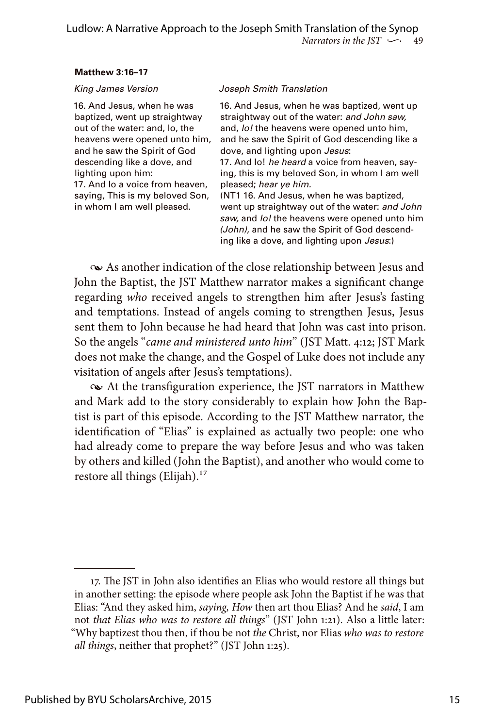### **Matthew 3:16–17**

16. And Jesus, when he was baptized, went up straightway out of the water: and, lo, the heavens were opened unto him, and he saw the Spirit of God descending like a dove, and lighting upon him: 17. And lo a voice from heaven, saying, This is my beloved Son, in whom I am well pleased.

### *King James Version Joseph Smith Translation*

16. And Jesus, when he was baptized, went up straightway out of the water: *and John saw,* and, *lo!* the heavens were opened unto him, and he saw the Spirit of God descending like a dove, and lighting upon *Jesus*:

17. And lo! *he heard* a voice from heaven, saying, this is my beloved Son, in whom I am well pleased; *hear ye him.*

(NT1 16. And Jesus, when he was baptized, went up straightway out of the water: *and John saw,* and *lo!* the heavens were opened unto him *(John),* and he saw the Spirit of God descending like a dove, and lighting upon *Jesus*:)

 $\infty$  As another indication of the close relationship between Jesus and John the Baptist, the JST Matthew narrator makes a significant change regarding *who* received angels to strengthen him after Jesus's fasting and temptations. Instead of angels coming to strengthen Jesus, Jesus sent them to John because he had heard that John was cast into prison. So the angels "*came and ministered unto him*" (JST Matt. 4:12; JST Mark does not make the change, and the Gospel of Luke does not include any visitation of angels after Jesus's temptations).

• At the transfiguration experience, the JST narrators in Matthew and Mark add to the story considerably to explain how John the Baptist is part of this episode. According to the JST Matthew narrator, the identification of "Elias" is explained as actually two people: one who had already come to prepare the way before Jesus and who was taken by others and killed (John the Baptist), and another who would come to restore all things (Elijah). $17$ 

<sup>17.</sup> The JST in John also identifies an Elias who would restore all things but in another setting: the episode where people ask John the Baptist if he was that Elias: "And they asked him, *saying, How* then art thou Elias? And he *said*, I am not *that Elias who was to restore all things*" (JST John 1:21). Also a little later: "Why baptizest thou then, if thou be not *the* Christ, nor Elias *who was to restore all things*, neither that prophet?" (JST John 1:25).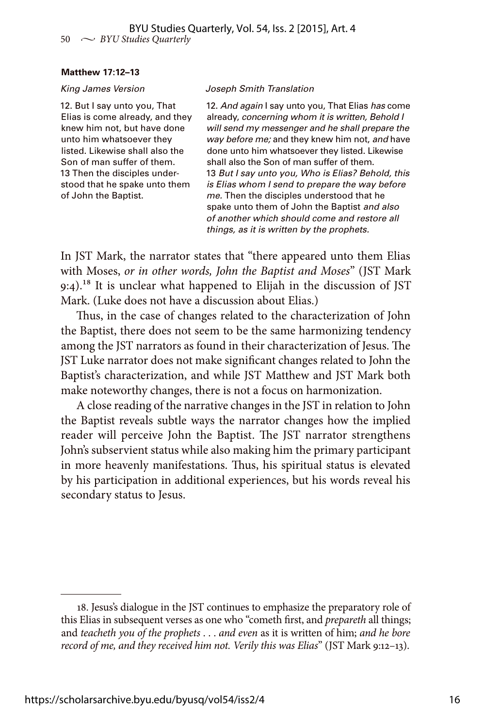#### **Matthew 17:12–13**

12. But I say unto you, That Elias is come already, and they knew him not, but have done unto him whatsoever they listed. Likewise shall also the Son of man suffer of them. 13 Then the disciples understood that he spake unto them of John the Baptist.

#### *King James Version Joseph Smith Translation*

12. *And again* I say unto you, That Elias *has* come already, *concerning whom it is written, Behold I will send my messenger and he shall prepare the way before me;* and they knew him not, *and* have done unto him whatsoever they listed. Likewise shall also the Son of man suffer of them. 13 *But I say unto you, Who is Elias? Behold, this is Elias whom I send to prepare the way before me.* Then the disciples understood that he spake unto them of John the Baptist *and also of another which should come and restore all things, as it is written by the prophets.*

In JST Mark, the narrator states that "there appeared unto them Elias with Moses, *or in other words, John the Baptist and Moses*" (JST Mark 9:4).<sup>18</sup> It is unclear what happened to Elijah in the discussion of JST Mark. (Luke does not have a discussion about Elias.)

Thus, in the case of changes related to the characterization of John the Baptist, there does not seem to be the same harmonizing tendency among the JST narrators as found in their characterization of Jesus. The JST Luke narrator does not make significant changes related to John the Baptist's characterization, and while JST Matthew and JST Mark both make noteworthy changes, there is not a focus on harmonization.

A close reading of the narrative changes in the JST in relation to John the Baptist reveals subtle ways the narrator changes how the implied reader will perceive John the Baptist. The JST narrator strengthens John's subservient status while also making him the primary participant in more heavenly manifestations. Thus, his spiritual status is elevated by his participation in additional experiences, but his words reveal his secondary status to Jesus.

<sup>18.</sup> Jesus's dialogue in the JST continues to emphasize the preparatory role of this Elias in subsequent verses as one who "cometh first, and *prepareth* all things; and *teacheth you of the prophets* . . . *and even* as it is written of him; *and he bore record of me, and they received him not. Verily this was Elias*" (JST Mark 9:12–13).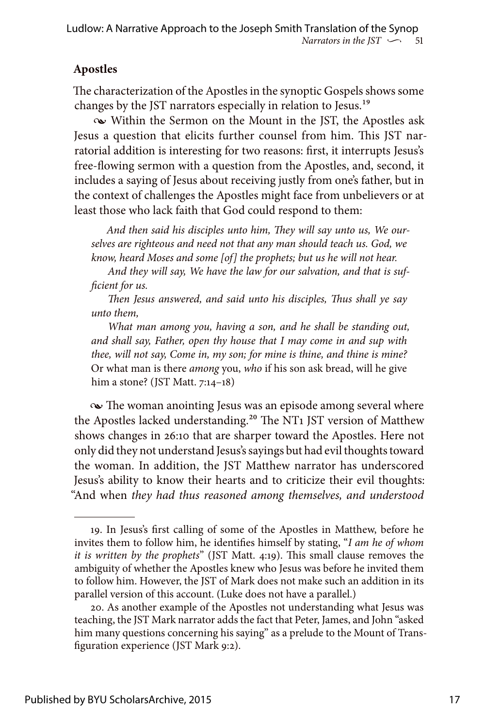# **Apostles**

The characterization of the Apostles in the synoptic Gospels shows some changes by the JST narrators especially in relation to Jesus.19

• Within the Sermon on the Mount in the JST, the Apostles ask Jesus a question that elicits further counsel from him. This JST narratorial addition is interesting for two reasons: first, it interrupts Jesus's free-flowing sermon with a question from the Apostles, and, second, it includes a saying of Jesus about receiving justly from one's father, but in the context of challenges the Apostles might face from unbelievers or at least those who lack faith that God could respond to them:

*And then said his disciples unto him, They will say unto us, We ourselves are righteous and need not that any man should teach us. God, we know, heard Moses and some [of] the prophets; but us he will not hear.*

*And they will say, We have the law for our salvation, and that is sufficient for us.*

*Then Jesus answered, and said unto his disciples, Thus shall ye say unto them,*

*What man among you, having a son, and he shall be standing out, and shall say, Father, open thy house that I may come in and sup with thee, will not say, Come in, my son; for mine is thine, and thine is mine?* Or what man is there *among* you, *who* if his son ask bread, will he give him a stone? (JST Matt. 7:14–18)

 $\sim$  The woman anointing Jesus was an episode among several where the Apostles lacked understanding.<sup>20</sup> The NT<sub>1</sub> JST version of Matthew shows changes in 26:10 that are sharper toward the Apostles. Here not only did they not understand Jesus's sayings but had evil thoughts toward the woman. In addition, the JST Matthew narrator has underscored Jesus's ability to know their hearts and to criticize their evil thoughts: "And when *they had thus reasoned among themselves, and understood* 

<sup>19.</sup> In Jesus's first calling of some of the Apostles in Matthew, before he invites them to follow him, he identifies himself by stating, "*I am he of whom it is written by the prophets*" (JST Matt. 4:19). This small clause removes the ambiguity of whether the Apostles knew who Jesus was before he invited them to follow him. However, the JST of Mark does not make such an addition in its parallel version of this account. (Luke does not have a parallel.)

<sup>20.</sup> As another example of the Apostles not understanding what Jesus was teaching, the JST Mark narrator adds the fact that Peter, James, and John "asked him many questions concerning his saying" as a prelude to the Mount of Transfiguration experience (JST Mark 9:2).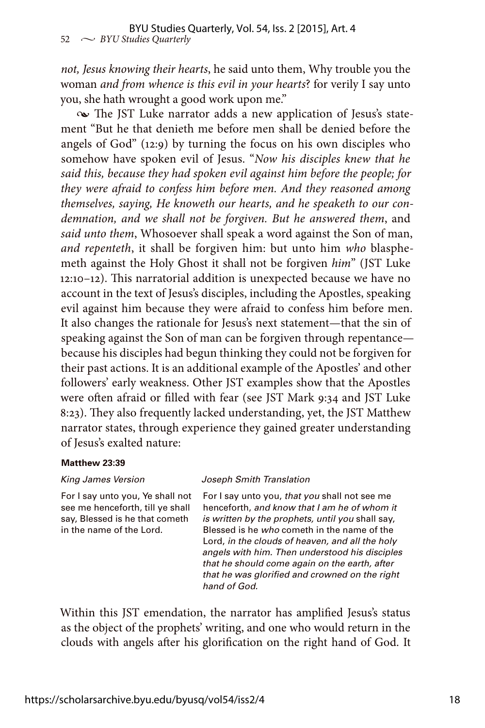*not, Jesus knowing their hearts*, he said unto them, Why trouble you the woman *and from whence is this evil in your hearts*? for verily I say unto you, she hath wrought a good work upon me."

• The JST Luke narrator adds a new application of Jesus's statement "But he that denieth me before men shall be denied before the angels of God" (12:9) by turning the focus on his own disciples who somehow have spoken evil of Jesus. "*Now his disciples knew that he said this, because they had spoken evil against him before the people; for they were afraid to confess him before men. And they reasoned among themselves, saying, He knoweth our hearts, and he speaketh to our condemnation, and we shall not be forgiven. But he answered them*, and *said unto them*, Whosoever shall speak a word against the Son of man, *and repenteth*, it shall be forgiven him: but unto him *who* blasphemeth against the Holy Ghost it shall not be forgiven *him*" (JST Luke 12:10–12). This narratorial addition is unexpected because we have no account in the text of Jesus's disciples, including the Apostles, speaking evil against him because they were afraid to confess him before men. It also changes the rationale for Jesus's next statement—that the sin of speaking against the Son of man can be forgiven through repentance because his disciples had begun thinking they could not be forgiven for their past actions. It is an additional example of the Apostles' and other followers' early weakness. Other JST examples show that the Apostles were often afraid or filled with fear (see JST Mark 9:34 and JST Luke 8:23). They also frequently lacked understanding, yet, the JST Matthew narrator states, through experience they gained greater understanding of Jesus's exalted nature:

### **Matthew 23:39**

For I say unto you, Ye shall not see me henceforth, till ye shall say, Blessed is he that cometh in the name of the Lord.

#### *King James Version Joseph Smith Translation*

For I say unto you, *that you* shall not see me henceforth, *and know that I am he of whom it is written by the prophets, until you* shall say, Blessed is he *who* cometh in the name of the Lord, *in the clouds of heaven, and all the holy angels with him. Then understood his disciples that he should come again on the earth, after that he was glorified and crowned on the right hand of God.*

Within this JST emendation, the narrator has amplified Jesus's status as the object of the prophets' writing, and one who would return in the clouds with angels after his glorification on the right hand of God. It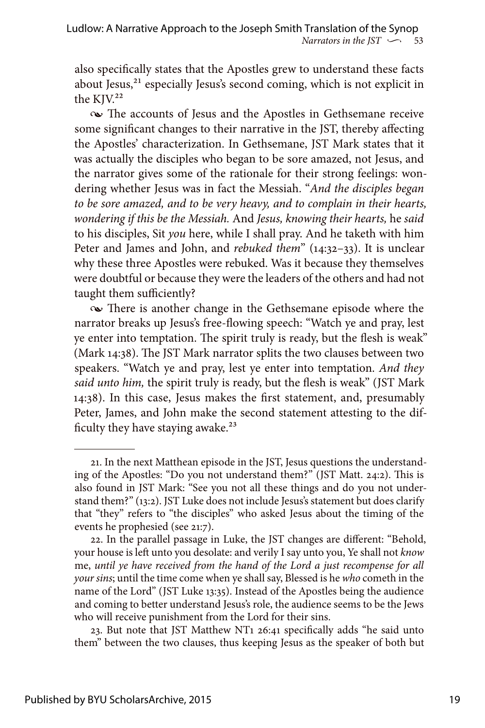also specifically states that the Apostles grew to understand these facts about Jesus,<sup>21</sup> especially Jesus's second coming, which is not explicit in the KJV.<sup>22</sup>

• The accounts of Jesus and the Apostles in Gethsemane receive some significant changes to their narrative in the JST, thereby affecting the Apostles' characterization. In Gethsemane, JST Mark states that it was actually the disciples who began to be sore amazed, not Jesus, and the narrator gives some of the rationale for their strong feelings: wondering whether Jesus was in fact the Messiah. "*And the disciples began to be sore amazed, and to be very heavy, and to complain in their hearts, wondering if this be the Messiah.* And *Jesus, knowing their hearts,* he *said*  to his disciples, Sit *you* here, while I shall pray. And he taketh with him Peter and James and John, and *rebuked them*" (14:32–33). It is unclear why these three Apostles were rebuked. Was it because they themselves were doubtful or because they were the leaders of the others and had not taught them sufficiently?

• There is another change in the Gethsemane episode where the narrator breaks up Jesus's free-flowing speech: "Watch ye and pray, lest ye enter into temptation. The spirit truly is ready, but the flesh is weak" (Mark 14:38). The JST Mark narrator splits the two clauses between two speakers. "Watch ye and pray, lest ye enter into temptation. *And they said unto him,* the spirit truly is ready, but the flesh is weak" (JST Mark 14:38). In this case, Jesus makes the first statement, and, presumably Peter, James, and John make the second statement attesting to the difficulty they have staying awake.<sup>23</sup>

23. But note that JST Matthew NT1 26:41 specifically adds "he said unto them" between the two clauses, thus keeping Jesus as the speaker of both but

<sup>21.</sup> In the next Matthean episode in the JST, Jesus questions the understanding of the Apostles: "Do you not understand them?" (JST Matt. 24:2). This is also found in JST Mark: "See you not all these things and do you not understand them?" (13:2). JST Luke does not include Jesus's statement but does clarify that "they" refers to "the disciples" who asked Jesus about the timing of the events he prophesied (see 21:7).

<sup>22.</sup> In the parallel passage in Luke, the JST changes are different: "Behold, your house is left unto you desolate: and verily I say unto you, Ye shall not *know* me, *until ye have received from the hand of the Lord a just recompense for all your sins*; until the time come when ye shall say, Blessed is he *who* cometh in the name of the Lord" (JST Luke 13:35). Instead of the Apostles being the audience and coming to better understand Jesus's role, the audience seems to be the Jews who will receive punishment from the Lord for their sins.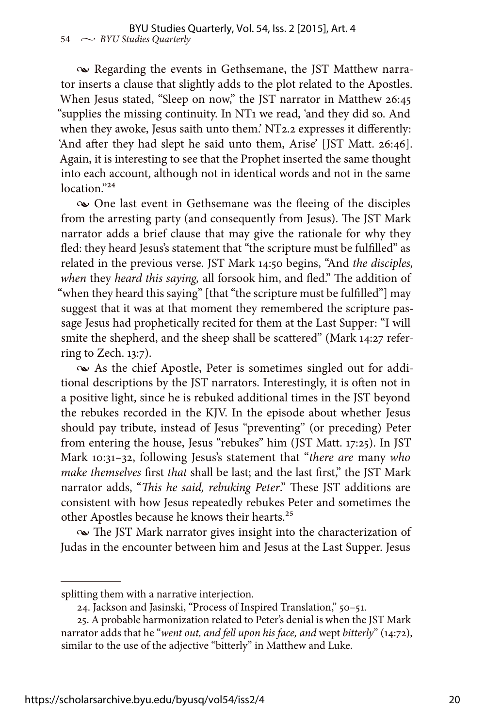• Regarding the events in Gethsemane, the JST Matthew narrator inserts a clause that slightly adds to the plot related to the Apostles. When Jesus stated, "Sleep on now," the JST narrator in Matthew 26:45 "supplies the missing continuity. In NT1 we read, 'and they did so. And when they awoke, Jesus saith unto them.' NT2.2 expresses it differently: 'And after they had slept he said unto them, Arise' [JST Matt. 26:46]. Again, it is interesting to see that the Prophet inserted the same thought into each account, although not in identical words and not in the same location."<sup>24</sup>

• One last event in Gethsemane was the fleeing of the disciples from the arresting party (and consequently from Jesus). The JST Mark narrator adds a brief clause that may give the rationale for why they fled: they heard Jesus's statement that "the scripture must be fulfilled" as related in the previous verse. JST Mark 14:50 begins, "And *the disciples, when* they *heard this saying,* all forsook him, and fled." The addition of "when they heard this saying" [that "the scripture must be fulfilled"] may suggest that it was at that moment they remembered the scripture passage Jesus had prophetically recited for them at the Last Supper: "I will smite the shepherd, and the sheep shall be scattered" (Mark 14:27 referring to Zech. 13:7).

• As the chief Apostle, Peter is sometimes singled out for additional descriptions by the JST narrators. Interestingly, it is often not in a positive light, since he is rebuked additional times in the JST beyond the rebukes recorded in the KJV. In the episode about whether Jesus should pay tribute, instead of Jesus "preventing" (or preceding) Peter from entering the house, Jesus "rebukes" him (JST Matt. 17:25). In JST Mark 10:31–32, following Jesus's statement that "*there are* many *who make themselves* first *that* shall be last; and the last first," the JST Mark narrator adds, "*This he said, rebuking Peter*." These JST additions are consistent with how Jesus repeatedly rebukes Peter and sometimes the other Apostles because he knows their hearts.25

• The JST Mark narrator gives insight into the characterization of Judas in the encounter between him and Jesus at the Last Supper. Jesus

splitting them with a narrative interjection.

<sup>24.</sup> Jackson and Jasinski, "Process of Inspired Translation," 50–51.

<sup>25.</sup> A probable harmonization related to Peter's denial is when the JST Mark narrator adds that he "*went out, and fell upon his face, and* wept *bitterly*" (14:72), similar to the use of the adjective "bitterly" in Matthew and Luke.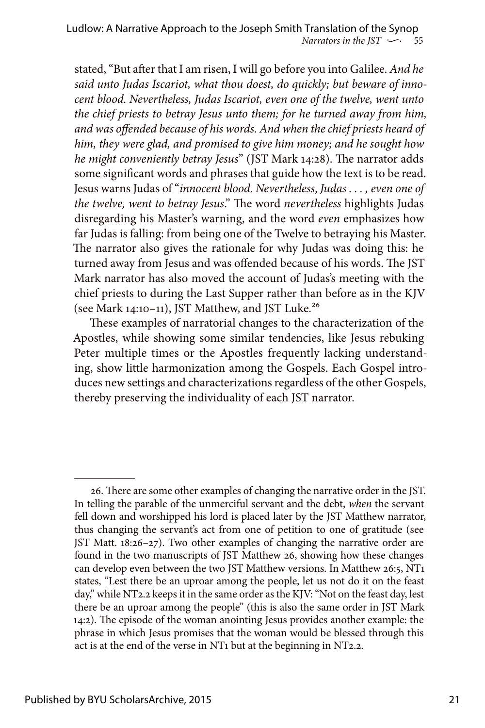stated, "But after that I am risen, I will go before you into Galilee. *And he said unto Judas Iscariot, what thou doest, do quickly; but beware of innocent blood. Nevertheless, Judas Iscariot, even one of the twelve, went unto the chief priests to betray Jesus unto them; for he turned away from him, and was offended because of his words. And when the chief priests heard of him, they were glad, and promised to give him money; and he sought how he might conveniently betray Jesus*" (JST Mark 14:28). The narrator adds some significant words and phrases that guide how the text is to be read. Jesus warns Judas of "*innocent blood*. *Nevertheless*, *Judas . . . , even one of the twelve, went to betray Jesus*." The word *nevertheless* highlights Judas disregarding his Master's warning, and the word *even* emphasizes how far Judas is falling: from being one of the Twelve to betraying his Master. The narrator also gives the rationale for why Judas was doing this: he turned away from Jesus and was offended because of his words. The JST Mark narrator has also moved the account of Judas's meeting with the chief priests to during the Last Supper rather than before as in the KJV (see Mark 14:10–11), JST Matthew, and JST Luke.26

These examples of narratorial changes to the characterization of the Apostles, while showing some similar tendencies, like Jesus rebuking Peter multiple times or the Apostles frequently lacking understanding, show little harmonization among the Gospels. Each Gospel introduces new settings and characterizations regardless of the other Gospels, thereby preserving the individuality of each JST narrator.

<sup>26.</sup> There are some other examples of changing the narrative order in the JST. In telling the parable of the unmerciful servant and the debt, *when* the servant fell down and worshipped his lord is placed later by the JST Matthew narrator, thus changing the servant's act from one of petition to one of gratitude (see JST Matt. 18:26–27). Two other examples of changing the narrative order are found in the two manuscripts of JST Matthew 26, showing how these changes can develop even between the two JST Matthew versions. In Matthew 26:5, NT1 states, "Lest there be an uproar among the people, let us not do it on the feast day," while NT2.2 keeps it in the same order as the KJV: "Not on the feast day, lest there be an uproar among the people" (this is also the same order in JST Mark 14:2). The episode of the woman anointing Jesus provides another example: the phrase in which Jesus promises that the woman would be blessed through this act is at the end of the verse in NT1 but at the beginning in NT2.2.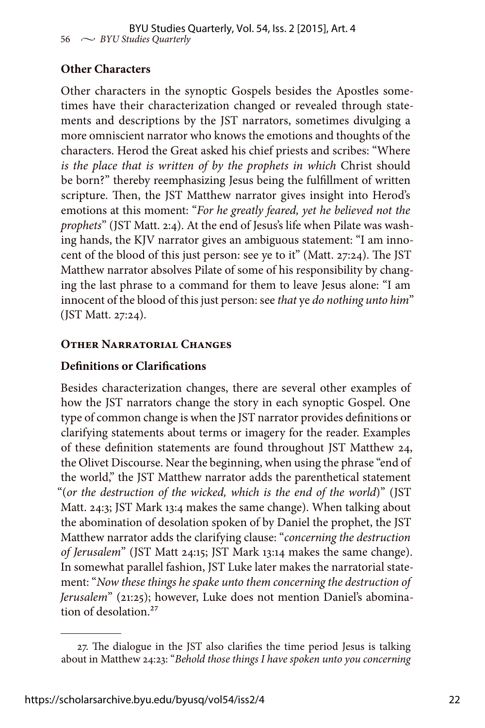# **Other Characters**

Other characters in the synoptic Gospels besides the Apostles sometimes have their characterization changed or revealed through statements and descriptions by the JST narrators, sometimes divulging a more omniscient narrator who knows the emotions and thoughts of the characters. Herod the Great asked his chief priests and scribes: "Where *is the place that is written of by the prophets in which* Christ should be born?" thereby reemphasizing Jesus being the fulfillment of written scripture. Then, the JST Matthew narrator gives insight into Herod's emotions at this moment: "*For he greatly feared, yet he believed not the prophets*" (JST Matt. 2:4). At the end of Jesus's life when Pilate was washing hands, the KJV narrator gives an ambiguous statement: "I am innocent of the blood of this just person: see ye to it" (Matt. 27:24). The JST Matthew narrator absolves Pilate of some of his responsibility by changing the last phrase to a command for them to leave Jesus alone: "I am innocent of the blood of this just person: see *that* ye *do nothing unto him*" (JST Matt. 27:24).

# **Other Narratorial Changes**

# **Definitions or Clarifications**

Besides characterization changes, there are several other examples of how the JST narrators change the story in each synoptic Gospel. One type of common change is when the JST narrator provides definitions or clarifying statements about terms or imagery for the reader. Examples of these definition statements are found throughout JST Matthew 24, the Olivet Discourse. Near the beginning, when using the phrase "end of the world," the JST Matthew narrator adds the parenthetical statement "(*or the destruction of the wicked, which is the end of the world*)" (JST Matt. 24:3; JST Mark 13:4 makes the same change). When talking about the abomination of desolation spoken of by Daniel the prophet, the JST Matthew narrator adds the clarifying clause: "*concerning the destruction of Jerusalem*" (JST Matt 24:15; JST Mark 13:14 makes the same change). In somewhat parallel fashion, JST Luke later makes the narratorial statement: "*Now these things he spake unto them concerning the destruction of Jerusalem*" (21:25); however, Luke does not mention Daniel's abomination of desolation<sup>27</sup>

<sup>27.</sup> The dialogue in the JST also clarifies the time period Jesus is talking about in Matthew 24:23: "*Behold those things I have spoken unto you concerning*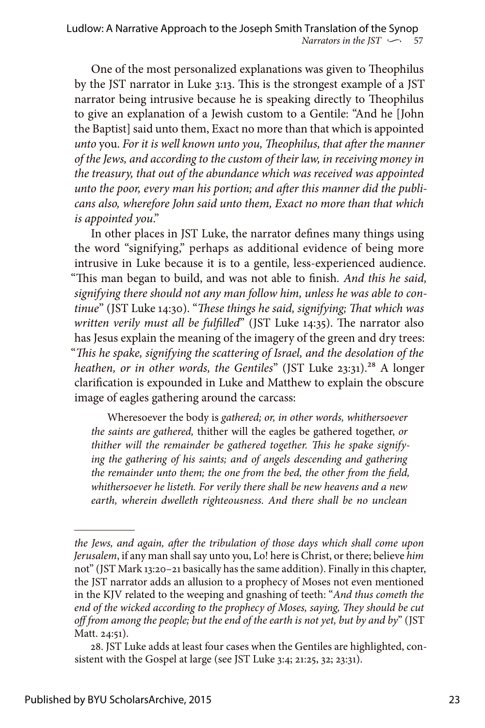One of the most personalized explanations was given to Theophilus by the JST narrator in Luke 3:13. This is the strongest example of a JST narrator being intrusive because he is speaking directly to Theophilus to give an explanation of a Jewish custom to a Gentile: "And he [John the Baptist] said unto them, Exact no more than that which is appointed *unto* you. *For it is well known unto you, Theophilus, that after the manner of the Jews, and according to the custom of their law, in receiving money in the treasury, that out of the abundance which was received was appointed unto the poor, every man his portion; and after this manner did the publicans also, wherefore John said unto them, Exact no more than that which is appointed you*."

In other places in JST Luke, the narrator defines many things using the word "signifying," perhaps as additional evidence of being more intrusive in Luke because it is to a gentile, less-experienced audience. "This man began to build, and was not able to finish*. And this he said, signifying there should not any man follow him, unless he was able to continue*" (JST Luke 14:30). "*These things he said, signifying; That which was written verily must all be fulfilled*" (JST Luke 14:35). The narrator also has Jesus explain the meaning of the imagery of the green and dry trees: "*This he spake, signifying the scattering of Israel, and the desolation of the heathen, or in other words, the Gentiles*" (JST Luke 23:31).<sup>28</sup> A longer clarification is expounded in Luke and Matthew to explain the obscure image of eagles gathering around the carcass:

Wheresoever the body is *gathered; or, in other words, whithersoever the saints are gathered,* thither will the eagles be gathered together, *or thither will the remainder be gathered together. This he spake signifying the gathering of his saints; and of angels descending and gathering the remainder unto them; the one from the bed, the other from the field, whithersoever he listeth. For verily there shall be new heavens and a new earth, wherein dwelleth righteousness. And there shall be no unclean* 

*the Jews, and again, after the tribulation of those days which shall come upon Jerusalem*, if any man shall say unto you, Lo! here is Christ, or there; believe *him* not" (JST Mark 13:20–21 basically has the same addition). Finally in this chapter, the JST narrator adds an allusion to a prophecy of Moses not even mentioned in the KJV related to the weeping and gnashing of teeth: "*And thus cometh the end of the wicked according to the prophecy of Moses, saying, They should be cut off from among the people; but the end of the earth is not yet, but by and by*" (JST Matt. 24:51).

<sup>28.</sup> JST Luke adds at least four cases when the Gentiles are highlighted, consistent with the Gospel at large (see JST Luke 3:4; 21:25, 32; 23:31).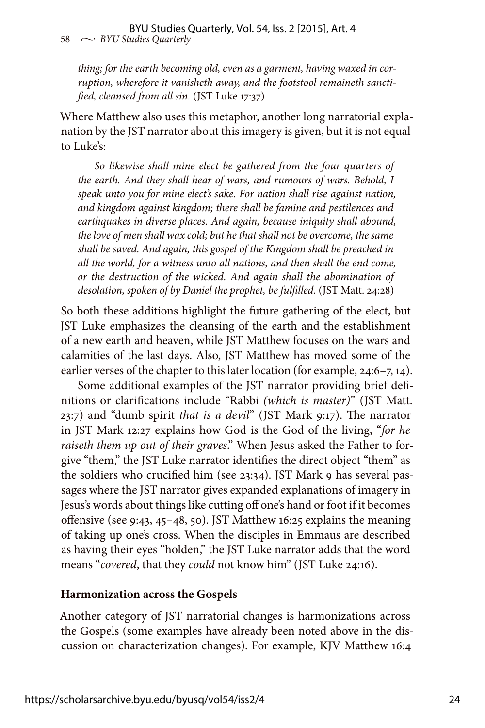*thing; for the earth becoming old, even as a garment, having waxed in corruption, wherefore it vanisheth away, and the footstool remaineth sanctified, cleansed from all sin.* (JST Luke 17:37)

Where Matthew also uses this metaphor, another long narratorial explanation by the JST narrator about this imagery is given, but it is not equal to Luke's:

*So likewise shall mine elect be gathered from the four quarters of the earth. And they shall hear of wars, and rumours of wars. Behold, I speak unto you for mine elect's sake. For nation shall rise against nation, and kingdom against kingdom; there shall be famine and pestilences and earthquakes in diverse places. And again, because iniquity shall abound, the love of men shall wax cold; but he that shall not be overcome, the same shall be saved. And again, this gospel of the Kingdom shall be preached in all the world, for a witness unto all nations, and then shall the end come, or the destruction of the wicked. And again shall the abomination of desolation, spoken of by Daniel the prophet, be fulfilled.* (JST Matt. 24:28)

So both these additions highlight the future gathering of the elect, but JST Luke emphasizes the cleansing of the earth and the establishment of a new earth and heaven, while JST Matthew focuses on the wars and calamities of the last days. Also, JST Matthew has moved some of the earlier verses of the chapter to this later location (for example, 24:6–7, 14).

Some additional examples of the JST narrator providing brief definitions or clarifications include "Rabbi *(which is master)*" (JST Matt. 23:7) and "dumb spirit *that is a devil*" (JST Mark 9:17). The narrator in JST Mark 12:27 explains how God is the God of the living, "*for he raiseth them up out of their graves*." When Jesus asked the Father to forgive "them," the JST Luke narrator identifies the direct object "them" as the soldiers who crucified him (see 23:34). JST Mark 9 has several passages where the JST narrator gives expanded explanations of imagery in Jesus's words about things like cutting off one's hand or foot if it becomes offensive (see 9:43, 45–48, 50). JST Matthew 16:25 explains the meaning of taking up one's cross. When the disciples in Emmaus are described as having their eyes "holden," the JST Luke narrator adds that the word means "*covered*, that they *could* not know him" (JST Luke 24:16).

# **Harmonization across the Gospels**

Another category of JST narratorial changes is harmonizations across the Gospels (some examples have already been noted above in the discussion on characterization changes). For example, KJV Matthew 16:4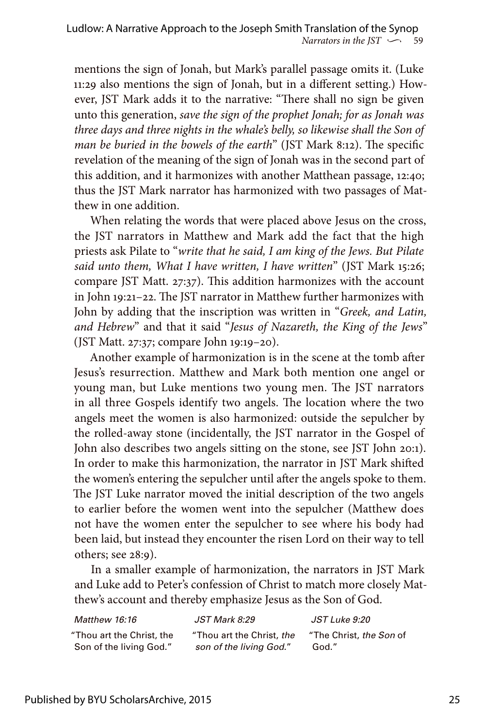mentions the sign of Jonah, but Mark's parallel passage omits it. (Luke 11:29 also mentions the sign of Jonah, but in a different setting.) However, JST Mark adds it to the narrative: "There shall no sign be given unto this generation, *save the sign of the prophet Jonah; for as Jonah was three days and three nights in the whale's belly, so likewise shall the Son of man be buried in the bowels of the earth*" (JST Mark 8:12). The specific revelation of the meaning of the sign of Jonah was in the second part of this addition, and it harmonizes with another Matthean passage, 12:40; thus the JST Mark narrator has harmonized with two passages of Matthew in one addition.

When relating the words that were placed above Jesus on the cross, the JST narrators in Matthew and Mark add the fact that the high priests ask Pilate to "*write that he said, I am king of the Jews. But Pilate said unto them, What I have written, I have written*" (JST Mark 15:26; compare JST Matt. 27:37). This addition harmonizes with the account in John 19:21–22. The JST narrator in Matthew further harmonizes with John by adding that the inscription was written in "*Greek, and Latin, and Hebrew*" and that it said "*Jesus of Nazareth, the King of the Jews*" (JST Matt. 27:37; compare John 19:19–20).

Another example of harmonization is in the scene at the tomb after Jesus's resurrection. Matthew and Mark both mention one angel or young man, but Luke mentions two young men. The JST narrators in all three Gospels identify two angels. The location where the two angels meet the women is also harmonized: outside the sepulcher by the rolled-away stone (incidentally, the JST narrator in the Gospel of John also describes two angels sitting on the stone, see JST John 20:1). In order to make this harmonization, the narrator in JST Mark shifted the women's entering the sepulcher until after the angels spoke to them. The JST Luke narrator moved the initial description of the two angels to earlier before the women went into the sepulcher (Matthew does not have the women enter the sepulcher to see where his body had been laid, but instead they encounter the risen Lord on their way to tell others; see 28:9).

In a smaller example of harmonization, the narrators in JST Mark and Luke add to Peter's confession of Christ to match more closely Matthew's account and thereby emphasize Jesus as the Son of God.

| Matthew 16:16             | <i>JST Mark 8:29</i>      | JST Luke 9:20           |
|---------------------------|---------------------------|-------------------------|
| "Thou art the Christ, the | "Thou art the Christ, the | "The Christ, the Son of |
| Son of the living God."   | son of the living God."   | God."                   |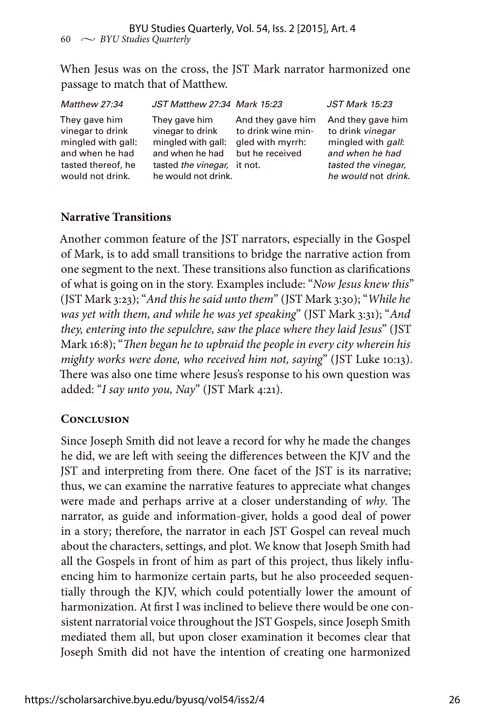When Jesus was on the cross, the JST Mark narrator harmonized one passage to match that of Matthew.

| Matthew 27:34                                                                                                        | JST Matthew 27:34 Mark 15:23                                                                                                     |                                                                                | <b>JST Mark 15:23</b>                                                                                                                |
|----------------------------------------------------------------------------------------------------------------------|----------------------------------------------------------------------------------------------------------------------------------|--------------------------------------------------------------------------------|--------------------------------------------------------------------------------------------------------------------------------------|
| They gave him<br>vinegar to drink<br>mingled with gall:<br>and when he had<br>tasted thereof, he<br>would not drink. | They gave him<br>vinegar to drink<br>mingled with gall:<br>and when he had<br>tasted the vinegar, it not.<br>he would not drink. | And they gave him<br>to drink wine min-<br>gled with myrrh:<br>but he received | And they gave him<br>to drink vinegar<br>mingled with <i>gall</i> :<br>and when he had<br>tasted the vinegar,<br>he would not drink. |

# **Narrative Transitions**

Another common feature of the JST narrators, especially in the Gospel of Mark, is to add small transitions to bridge the narrative action from one segment to the next. These transitions also function as clarifications of what is going on in the story. Examples include: "*Now Jesus knew this*" (JST Mark 3:23); "*And this he said unto them*" (JST Mark 3:30); "*While he was yet with them, and while he was yet speaking*" (JST Mark 3:31); "*And they, entering into the sepulchre, saw the place where they laid Jesus*" (JST Mark 16:8); "*Then began he to upbraid the people in every city wherein his mighty works were done, who received him not, saying*" (JST Luke 10:13). There was also one time where Jesus's response to his own question was added: "*I say unto you, Nay*" (JST Mark 4:21).

# **Conclusion**

Since Joseph Smith did not leave a record for why he made the changes he did, we are left with seeing the differences between the KJV and the JST and interpreting from there. One facet of the JST is its narrative; thus, we can examine the narrative features to appreciate what changes were made and perhaps arrive at a closer understanding of *why*. The narrator, as guide and information-giver, holds a good deal of power in a story; therefore, the narrator in each JST Gospel can reveal much about the characters, settings, and plot. We know that Joseph Smith had all the Gospels in front of him as part of this project, thus likely influencing him to harmonize certain parts, but he also proceeded sequentially through the KJV, which could potentially lower the amount of harmonization. At first I was inclined to believe there would be one consistent narratorial voice throughout the JST Gospels, since Joseph Smith mediated them all, but upon closer examination it becomes clear that Joseph Smith did not have the intention of creating one harmonized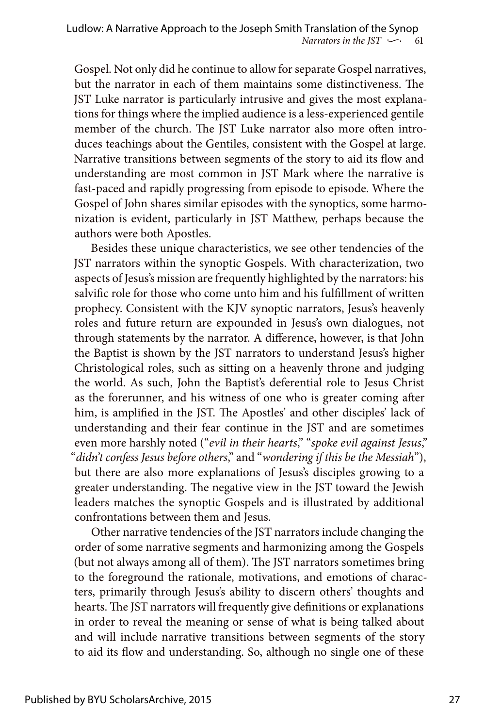Gospel. Not only did he continue to allow for separate Gospel narratives, but the narrator in each of them maintains some distinctiveness. The JST Luke narrator is particularly intrusive and gives the most explanations for things where the implied audience is a less-experienced gentile member of the church. The JST Luke narrator also more often introduces teachings about the Gentiles, consistent with the Gospel at large. Narrative transitions between segments of the story to aid its flow and understanding are most common in JST Mark where the narrative is fast-paced and rapidly progressing from episode to episode. Where the Gospel of John shares similar episodes with the synoptics, some harmonization is evident, particularly in JST Matthew, perhaps because the authors were both Apostles.

Besides these unique characteristics, we see other tendencies of the JST narrators within the synoptic Gospels. With characterization, two aspects of Jesus's mission are frequently highlighted by the narrators: his salvific role for those who come unto him and his fulfillment of written prophecy. Consistent with the KJV synoptic narrators, Jesus's heavenly roles and future return are expounded in Jesus's own dialogues, not through statements by the narrator. A difference, however, is that John the Baptist is shown by the JST narrators to understand Jesus's higher Christological roles, such as sitting on a heavenly throne and judging the world. As such, John the Baptist's deferential role to Jesus Christ as the forerunner, and his witness of one who is greater coming after him, is amplified in the JST. The Apostles' and other disciples' lack of understanding and their fear continue in the JST and are sometimes even more harshly noted ("*evil in their hearts*," "*spoke evil against Jesus*," "*didn't confess Jesus before others*," and "*wondering if this be the Messiah*"), but there are also more explanations of Jesus's disciples growing to a greater understanding. The negative view in the JST toward the Jewish leaders matches the synoptic Gospels and is illustrated by additional confrontations between them and Jesus.

Other narrative tendencies of the JST narrators include changing the order of some narrative segments and harmonizing among the Gospels (but not always among all of them). The JST narrators sometimes bring to the foreground the rationale, motivations, and emotions of characters, primarily through Jesus's ability to discern others' thoughts and hearts. The JST narrators will frequently give definitions or explanations in order to reveal the meaning or sense of what is being talked about and will include narrative transitions between segments of the story to aid its flow and understanding. So, although no single one of these